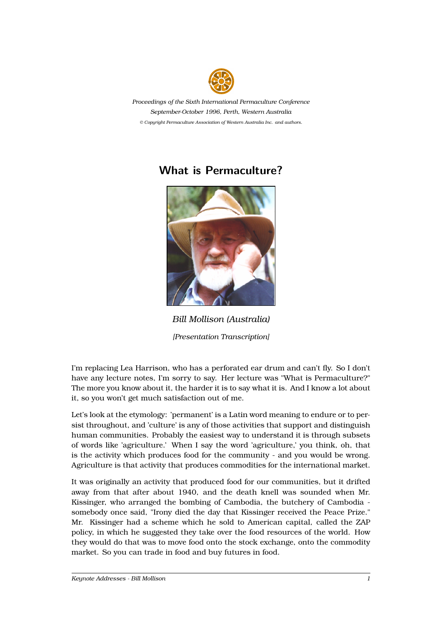

*Proceedings of the Sixth International Permaculture Conference September-October 1996, Perth, Western Australia © Copyright Permaculture Association of Western Australia Inc. and authors.*

## **What is Permaculture?**



*Bill Mollison (Australia) [Presentation Transcription]*

I'm replacing Lea Harrison, who has a perforated ear drum and can't fly. So I don't have any lecture notes, I'm sorry to say. Her lecture was "What is Permaculture?" The more you know about it, the harder it is to say what it is. And I know a lot about it, so you won't get much satisfaction out of me.

Let's look at the etymology: 'permanent' is a Latin word meaning to endure or to persist throughout, and 'culture' is any of those activities that support and distinguish human communities. Probably the easiest way to understand it is through subsets of words like 'agriculture.' When I say the word 'agriculture,' you think, oh, that is the activity which produces food for the community - and you would be wrong. Agriculture is that activity that produces commodities for the international market.

It was originally an activity that produced food for our communities, but it drifted away from that after about 1940, and the death knell was sounded when Mr. Kissinger, who arranged the bombing of Cambodia, the butchery of Cambodia somebody once said, "Irony died the day that Kissinger received the Peace Prize." Mr. Kissinger had a scheme which he sold to American capital, called the ZAP policy, in which he suggested they take over the food resources of the world. How they would do that was to move food onto the stock exchange, onto the commodity market. So you can trade in food and buy futures in food.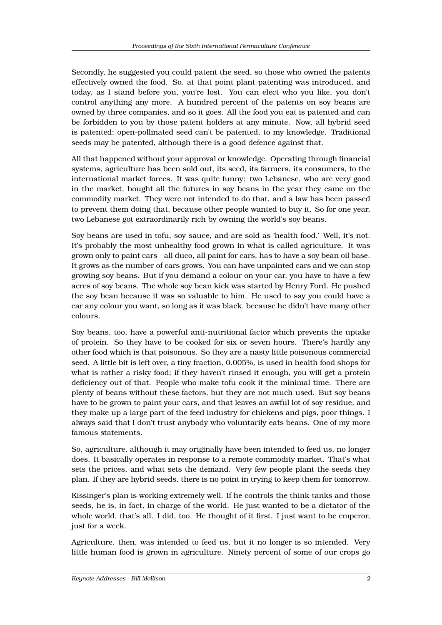Secondly, he suggested you could patent the seed, so those who owned the patents effectively owned the food. So, at that point plant patenting was introduced, and today, as I stand before you, you're lost. You can elect who you like, you don't control anything any more. A hundred percent of the patents on soy beans are owned by three companies, and so it goes. All the food you eat is patented and can be forbidden to you by those patent holders at any minute. Now, all hybrid seed is patented; open-pollinated seed can't be patented, to my knowledge. Traditional seeds may be patented, although there is a good defence against that.

All that happened without your approval or knowledge. Operating through financial systems, agriculture has been sold out, its seed, its farmers, its consumers, to the international market forces. It was quite funny: two Lebanese, who are very good in the market, bought all the futures in soy beans in the year they came on the commodity market. They were not intended to do that, and a law has been passed to prevent them doing that, because other people wanted to buy it. So for one year, two Lebanese got extraordinarily rich by owning the world's soy beans.

Soy beans are used in tofu, soy sauce, and are sold as 'health food.' Well, it's not. It's probably the most unhealthy food grown in what is called agriculture. It was grown only to paint cars - all duco, all paint for cars, has to have a soy bean oil base. It grows as the number of cars grows. You can have unpainted cars and we can stop growing soy beans. But if you demand a colour on your car, you have to have a few acres of soy beans. The whole soy bean kick was started by Henry Ford. He pushed the soy bean because it was so valuable to him. He used to say you could have a car any colour you want, so long as it was black, because he didn't have many other colours.

Soy beans, too, have a powerful anti-nutritional factor which prevents the uptake of protein. So they have to be cooked for six or seven hours. There's hardly any other food which is that poisonous. So they are a nasty little poisonous commercial seed. A little bit is left over, a tiny fraction, 0.005%, is used in health food shops for what is rather a risky food; if they haven't rinsed it enough, you will get a protein deficiency out of that. People who make tofu cook it the minimal time. There are plenty of beans without these factors, but they are not much used. But soy beans have to be grown to paint your cars, and that leaves an awful lot of soy residue, and they make up a large part of the feed industry for chickens and pigs, poor things. I always said that I don't trust anybody who voluntarily eats beans. One of my more famous statements.

So, agriculture, although it may originally have been intended to feed us, no longer does. It basically operates in response to a remote commodity market. That's what sets the prices, and what sets the demand. Very few people plant the seeds they plan. If they are hybrid seeds, there is no point in trying to keep them for tomorrow.

Kissinger's plan is working extremely well. If he controls the think-tanks and those seeds, he is, in fact, in charge of the world. He just wanted to be a dictator of the whole world, that's all. I did, too. He thought of it first. I just want to be emperor, just for a week.

Agriculture, then, was intended to feed us, but it no longer is so intended. Very little human food is grown in agriculture. Ninety percent of some of our crops go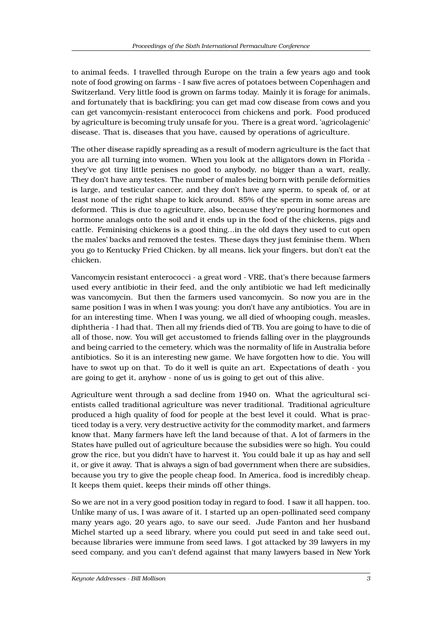to animal feeds. I travelled through Europe on the train a few years ago and took note of food growing on farms - I saw five acres of potatoes between Copenhagen and Switzerland. Very little food is grown on farms today. Mainly it is forage for animals, and fortunately that is backfiring; you can get mad cow disease from cows and you can get vancomycin-resistant enterococci from chickens and pork. Food produced by agriculture is becoming truly unsafe for you. There is a great word, 'agricolagenic' disease. That is, diseases that you have, caused by operations of agriculture.

The other disease rapidly spreading as a result of modern agriculture is the fact that you are all turning into women. When you look at the alligators down in Florida they've got tiny little penises no good to anybody, no bigger than a wart, really. They don't have any testes. The number of males being born with penile deformities is large, and testicular cancer, and they don't have any sperm, to speak of, or at least none of the right shape to kick around. 85% of the sperm in some areas are deformed. This is due to agriculture, also, because they're pouring hormones and hormone analogs onto the soil and it ends up in the food of the chickens, pigs and cattle. Feminising chickens is a good thing...in the old days they used to cut open the males' backs and removed the testes. These days they just feminise them. When you go to Kentucky Fried Chicken, by all means, lick your fingers, but don't eat the chicken.

Vancomycin resistant enterococci - a great word - VRE, that's there because farmers used every antibiotic in their feed, and the only antibiotic we had left medicinally was vancomycin. But then the farmers used vancomycin. So now you are in the same position I was in when I was young: you don't have any antibiotics. You are in for an interesting time. When I was young, we all died of whooping cough, measles, diphtheria - I had that. Then all my friends died of TB. You are going to have to die of all of those, now. You will get accustomed to friends falling over in the playgrounds and being carried to the cemetery, which was the normality of life in Australia before antibiotics. So it is an interesting new game. We have forgotten how to die. You will have to swot up on that. To do it well is quite an art. Expectations of death - you are going to get it, anyhow - none of us is going to get out of this alive.

Agriculture went through a sad decline from 1940 on. What the agricultural scientists called traditional agriculture was never traditional. Traditional agriculture produced a high quality of food for people at the best level it could. What is practiced today is a very, very destructive activity for the commodity market, and farmers know that. Many farmers have left the land because of that. A lot of farmers in the States have pulled out of agriculture because the subsidies were so high. You could grow the rice, but you didn't have to harvest it. You could bale it up as hay and sell it, or give it away. That is always a sign of bad government when there are subsidies, because you try to give the people cheap food. In America, food is incredibly cheap. It keeps them quiet, keeps their minds off other things.

So we are not in a very good position today in regard to food. I saw it all happen, too. Unlike many of us, I was aware of it. I started up an open-pollinated seed company many years ago, 20 years ago, to save our seed. Jude Fanton and her husband Michel started up a seed library, where you could put seed in and take seed out, because libraries were immune from seed laws. I got attacked by 39 lawyers in my seed company, and you can't defend against that many lawyers based in New York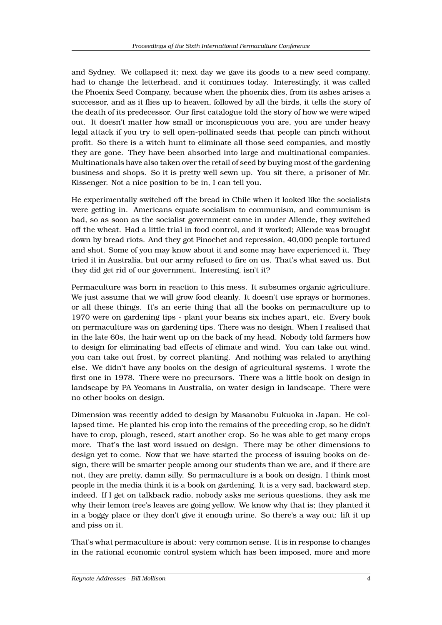and Sydney. We collapsed it; next day we gave its goods to a new seed company, had to change the letterhead, and it continues today. Interestingly, it was called the Phoenix Seed Company, because when the phoenix dies, from its ashes arises a successor, and as it flies up to heaven, followed by all the birds, it tells the story of the death of its predecessor. Our first catalogue told the story of how we were wiped out. It doesn't matter how small or inconspicuous you are, you are under heavy legal attack if you try to sell open-pollinated seeds that people can pinch without profit. So there is a witch hunt to eliminate all those seed companies, and mostly they are gone. They have been absorbed into large and multinational companies. Multinationals have also taken over the retail of seed by buying most of the gardening business and shops. So it is pretty well sewn up. You sit there, a prisoner of Mr. Kissenger. Not a nice position to be in, I can tell you.

He experimentally switched off the bread in Chile when it looked like the socialists were getting in. Americans equate socialism to communism, and communism is bad, so as soon as the socialist government came in under Allende, they switched off the wheat. Had a little trial in food control, and it worked; Allende was brought down by bread riots. And they got Pinochet and repression, 40,000 people tortured and shot. Some of you may know about it and some may have experienced it. They tried it in Australia, but our army refused to fire on us. That's what saved us. But they did get rid of our government. Interesting, isn't it?

Permaculture was born in reaction to this mess. It subsumes organic agriculture. We just assume that we will grow food cleanly. It doesn't use sprays or hormones, or all these things. It's an eerie thing that all the books on permaculture up to 1970 were on gardening tips - plant your beans six inches apart, etc. Every book on permaculture was on gardening tips. There was no design. When I realised that in the late 60s, the hair went up on the back of my head. Nobody told farmers how to design for eliminating bad effects of climate and wind. You can take out wind, you can take out frost, by correct planting. And nothing was related to anything else. We didn't have any books on the design of agricultural systems. I wrote the first one in 1978. There were no precursors. There was a little book on design in landscape by PA Yeomans in Australia, on water design in landscape. There were no other books on design.

Dimension was recently added to design by Masanobu Fukuoka in Japan. He collapsed time. He planted his crop into the remains of the preceding crop, so he didn't have to crop, plough, reseed, start another crop. So he was able to get many crops more. That's the last word issued on design. There may be other dimensions to design yet to come. Now that we have started the process of issuing books on design, there will be smarter people among our students than we are, and if there are not, they are pretty, damn silly. So permaculture is a book on design. I think most people in the media think it is a book on gardening. It is a very sad, backward step, indeed. If I get on talkback radio, nobody asks me serious questions, they ask me why their lemon tree's leaves are going yellow. We know why that is; they planted it in a boggy place or they don't give it enough urine. So there's a way out: lift it up and piss on it.

That's what permaculture is about: very common sense. It is in response to changes in the rational economic control system which has been imposed, more and more